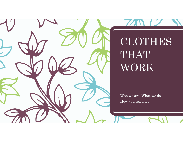

## CLOTHES THAT WORK

Who we are. What we do. How you can help.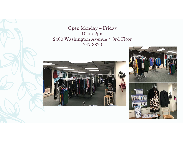Open Monday – Friday 10am-2pm 2400 Washington Avenue • 3rd Floor 247.3320





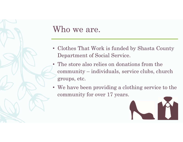

## Who we are.

- Clothes That Work is funded by Shasta County Department of Social Service.
- The store also relies on donations from the community – individuals, service clubs, church groups, etc.
- We have been providing a clothing service to the community for over 17 years.

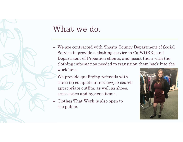

## What we do.

- We are contracted with Shasta County Department of Social Service to provide a clothing service to CalWORKs and Department of Probation clients, and assist them with the clothing information needed to transition them back into the workforce.
- We provide qualifying referrals with three (3) complete interview/job search appropriate outfits, as well as shoes, accessories and hygiene items.
- Clothes That Work is also open to the public.